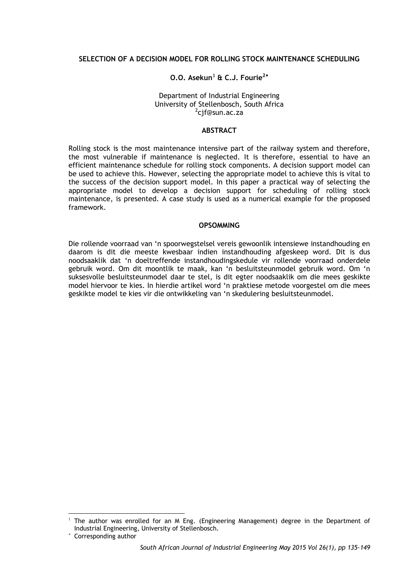### **SELECTION OF A DECISION MODEL FOR ROLLING STOCK MAINTENANCE SCHEDULING**

# **O.O. Asekun**[1](#page-0-0) **& C.J. Fourie2**[∗](#page-0-1)

#### Department of Industrial Engineering University of Stellenbosch, South Africa <sup>2</sup> <sup>2</sup>cif@sun.ac.za

### **ABSTRACT**

Rolling stock is the most maintenance intensive part of the railway system and therefore, the most vulnerable if maintenance is neglected. It is therefore, essential to have an efficient maintenance schedule for rolling stock components. A decision support model can be used to achieve this. However, selecting the appropriate model to achieve this is vital to the success of the decision support model. In this paper a practical way of selecting the appropriate model to develop a decision support for scheduling of rolling stock maintenance, is presented. A case study is used as a numerical example for the proposed framework.

### **OPSOMMING**

Die rollende voorraad van 'n spoorwegstelsel vereis gewoonlik intensiewe instandhouding en daarom is dit die meeste kwesbaar indien instandhouding afgeskeep word. Dit is dus noodsaaklik dat 'n doeltreffende instandhoudingskedule vir rollende voorraad onderdele gebruik word. Om dit moontlik te maak, kan 'n besluitsteunmodel gebruik word. Om 'n suksesvolle besluitsteunmodel daar te stel, is dit egter noodsaaklik om die mees geskikte model hiervoor te kies. In hierdie artikel word 'n praktiese metode voorgestel om die mees geskikte model te kies vir die ontwikkeling van 'n skedulering besluitsteunmodel.

-

<span id="page-0-0"></span><sup>1</sup> The author was enrolled for an M Eng. (Engineering Management) degree in the Department of Industrial Engineering, University of Stellenbosch.

<span id="page-0-1"></span><sup>∗</sup> Corresponding author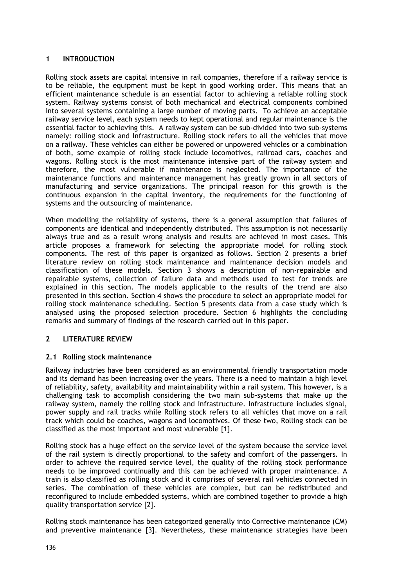## **1 INTRODUCTION**

Rolling stock assets are capital intensive in rail companies, therefore if a railway service is to be reliable, the equipment must be kept in good working order. This means that an efficient maintenance schedule is an essential factor to achieving a reliable rolling stock system. Railway systems consist of both mechanical and electrical components combined into several systems containing a large number of moving parts. To achieve an acceptable railway service level, each system needs to kept operational and regular maintenance is the essential factor to achieving this. A railway system can be sub-divided into two sub-systems namely: rolling stock and Infrastructure. Rolling stock refers to all the vehicles that move on a railway. These vehicles can either be powered or unpowered vehicles or a combination of both, some example of rolling stock include locomotives, railroad cars, coaches and wagons. Rolling stock is the most maintenance intensive part of the railway system and therefore, the most vulnerable if maintenance is neglected. The importance of the maintenance functions and maintenance management has greatly grown in all sectors of manufacturing and service organizations. The principal reason for this growth is the continuous expansion in the capital inventory, the requirements for the functioning of systems and the outsourcing of maintenance.

When modelling the reliability of systems, there is a general assumption that failures of components are identical and independently distributed. This assumption is not necessarily always true and as a result wrong analysis and results are achieved in most cases. This article proposes a framework for selecting the appropriate model for rolling stock components. The rest of this paper is organized as follows. Section 2 presents a brief literature review on rolling stock maintenance and maintenance decision models and classification of these models. Section 3 shows a description of non-repairable and repairable systems, collection of failure data and methods used to test for trends are explained in this section. The models applicable to the results of the trend are also presented in this section. Section 4 shows the procedure to select an appropriate model for rolling stock maintenance scheduling. Section 5 presents data from a case study which is analysed using the proposed selection procedure. Section 6 highlights the concluding remarks and summary of findings of the research carried out in this paper.

## **2 LITERATURE REVIEW**

### **2.1 Rolling stock maintenance**

Railway industries have been considered as an environmental friendly transportation mode and its demand has been increasing over the years. There is a need to maintain a high level of reliability, safety, availability and maintainability within a rail system. This however, is a challenging task to accomplish considering the two main sub-systems that make up the railway system, namely the rolling stock and infrastructure. Infrastructure includes signal, power supply and rail tracks while Rolling stock refers to all vehicles that move on a rail track which could be coaches, wagons and locomotives. Of these two, Rolling stock can be classified as the most important and most vulnerable [1].

Rolling stock has a huge effect on the service level of the system because the service level of the rail system is directly proportional to the safety and comfort of the passengers. In order to achieve the required service level, the quality of the rolling stock performance needs to be improved continually and this can be achieved with proper maintenance. A train is also classified as rolling stock and it comprises of several rail vehicles connected in series. The combination of these vehicles are complex, but can be redistributed and reconfigured to include embedded systems, which are combined together to provide a high quality transportation service [2].

Rolling stock maintenance has been categorized generally into Corrective maintenance (CM) and preventive maintenance [3]. Nevertheless, these maintenance strategies have been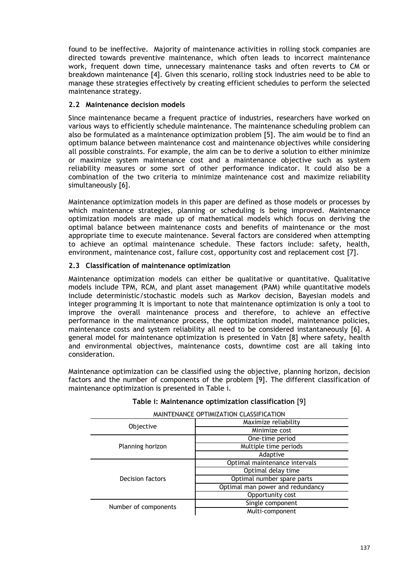found to be ineffective. Majority of maintenance activities in rolling stock companies are directed towards preventive maintenance, which often leads to incorrect maintenance work, frequent down time, unnecessary maintenance tasks and often reverts to CM or breakdown maintenance [4]. Given this scenario, rolling stock industries need to be able to manage these strategies effectively by creating efficient schedules to perform the selected maintenance strategy.

## **2.2 Maintenance decision models**

Since maintenance became a frequent practice of industries, researchers have worked on various ways to efficiently schedule maintenance. The maintenance scheduling problem can also be formulated as a maintenance optimization problem [5]. The aim would be to find an optimum balance between maintenance cost and maintenance objectives while considering all possible constraints. For example, the aim can be to derive a solution to either minimize or maximize system maintenance cost and a maintenance objective such as system reliability measures or some sort of other performance indicator. It could also be a combination of the two criteria to minimize maintenance cost and maximize reliability simultaneously [6].

Maintenance optimization models in this paper are defined as those models or processes by which maintenance strategies, planning or scheduling is being improved. Maintenance optimization models are made up of mathematical models which focus on deriving the optimal balance between maintenance costs and benefits of maintenance or the most appropriate time to execute maintenance. Several factors are considered when attempting to achieve an optimal maintenance schedule. These factors include: safety, health, environment, maintenance cost, failure cost, opportunity cost and replacement cost [7].

## **2.3 Classification of maintenance optimization**

Maintenance optimization models can either be qualitative or quantitative. Qualitative models include TPM, RCM, and plant asset management (PAM) while quantitative models include deterministic/stochastic models such as Markov decision, Bayesian models and integer programming It is important to note that maintenance optimization is only a tool to improve the overall maintenance process and therefore, to achieve an effective performance in the maintenance process, the optimization model, maintenance policies, maintenance costs and system reliability all need to be considered instantaneously [6]. A general model for maintenance optimization is presented in Vatn [8] where safety, health and environmental objectives, maintenance costs, downtime cost are all taking into consideration.

Maintenance optimization can be classified using the objective, planning horizon, decision factors and the number of components of the problem [9]. The different classification of maintenance optimization is presented in Table i.

| MAINTENANCE OPTIMIZATION CLASSIFICATION |                                  |  |  |  |
|-----------------------------------------|----------------------------------|--|--|--|
|                                         | Maximize reliability             |  |  |  |
| Objective                               | Minimize cost                    |  |  |  |
| Planning horizon                        | One-time period                  |  |  |  |
|                                         | Multiple time periods            |  |  |  |
|                                         | Adaptive                         |  |  |  |
| Decision factors                        | Optimal maintenance intervals    |  |  |  |
|                                         | Optimal delay time               |  |  |  |
|                                         | Optimal number spare parts       |  |  |  |
|                                         | Optimal man power and redundancy |  |  |  |
|                                         | Opportunity cost                 |  |  |  |
| Number of components                    | Single component                 |  |  |  |
|                                         | Multi-component                  |  |  |  |

## **Table i: Maintenance optimization classification** [9]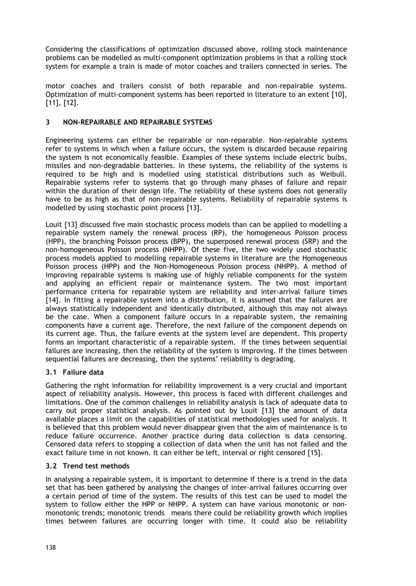Considering the classifications of optimization discussed above, rolling stock maintenance problems can be modelled as multi-component optimization problems in that a rolling stock system for example a train is made of motor coaches and trailers connected in series. The

motor coaches and trailers consist of both reparable and non-repairable systems. Optimization of multi-component systems has been reported in literature to an extent [10], [11], [12].

## **3 NON-REPAIRABLE AND REPAIRABLE SYSTEMS**

Engineering systems can either be repairable or non-reparable. Non-repairable systems refer to systems in which when a failure occurs, the system is discarded because repairing the system is not economically feasible. Examples of these systems include electric bulbs, missiles and non-degradable batteries. In these systems, the reliability of the systems is required to be high and is modelled using statistical distributions such as Weibull. Repairable systems refer to systems that go through many phases of failure and repair within the duration of their design life. The reliability of these systems does not generally have to be as high as that of non-repairable systems. Reliability of repairable systems is modelled by using stochastic point process [13].

Louit [13] discussed five main stochastic process models than can be applied to modelling a repairable system namely the renewal process (RP), the homogeneous Poisson process (HPP), the branching Poisson process (BPP), the superposed renewal process (SRP) and the non-homogeneous Poisson process (NHPP). Of these five, the two widely used stochastic process models applied to modelling repairable systems in literature are the Homogeneous Poisson process (HPP) and the Non-Homogeneous Poisson process (NHPP). A method of improving repairable systems is making use of highly reliable components for the system and applying an efficient repair or maintenance system. The two most important performance criteria for repairable system are reliability and inter-arrival failure times [14]. In fitting a repairable system into a distribution, it is assumed that the failures are always statistically independent and identically distributed, although this may not always be the case. When a component failure occurs in a repairable system, the remaining components have a current age. Therefore, the next failure of the component depends on its current age. Thus, the failure events at the system level are dependent. This property forms an important characteristic of a repairable system. If the times between sequential failures are increasing, then the reliability of the system is improving. If the times between sequential failures are decreasing, then the systems' reliability is degrading.

### **3.1 Failure data**

Gathering the right information for reliability improvement is a very crucial and important aspect of reliability analysis. However, this process is faced with different challenges and limitations. One of the common challenges in reliability analysis is lack of adequate data to carry out proper statistical analysis. As pointed out by Louit [13] the amount of data available places a limit on the capabilities of statistical methodologies used for analysis. It is believed that this problem would never disappear given that the aim of maintenance is to reduce failure occurrence. Another practice during data collection is data censoring. Censored data refers to stopping a collection of data when the unit has not failed and the exact failure time in not known. It can either be left, interval or right censored [15].

## **3.2 Trend test methods**

In analysing a repairable system, it is important to determine if there is a trend in the data set that has been gathered by analysing the changes of inter-arrival failures occurring over a certain period of time of the system. The results of this test can be used to model the system to follow either the HPP or NHPP. A system can have various monotonic or nonmonotonic trends; monotonic trends means there could be reliability growth which implies times between failures are occurring longer with time. It could also be reliability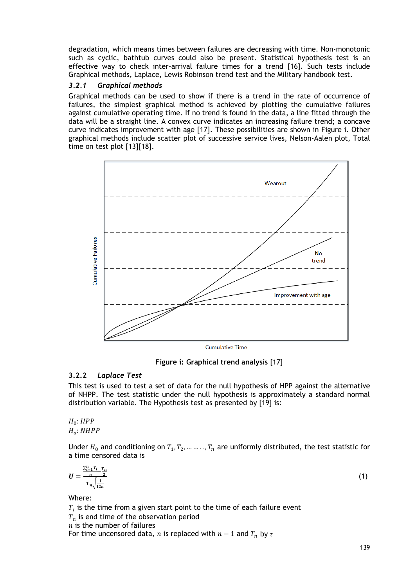degradation, which means times between failures are decreasing with time. Non-monotonic such as cyclic, bathtub curves could also be present. Statistical hypothesis test is an effective way to check inter-arrival failure times for a trend [16]. Such tests include Graphical methods, Laplace, Lewis Robinson trend test and the Military handbook test.

## *3.2.1 Graphical methods*

Graphical methods can be used to show if there is a trend in the rate of occurrence of failures, the simplest graphical method is achieved by plotting the cumulative failures against cumulative operating time. If no trend is found in the data, a line fitted through the data will be a straight line. A convex curve indicates an increasing failure trend; a concave curve indicates improvement with age [17]. These possibilities are shown in Figure i. Other graphical methods include scatter plot of successive service lives, Nelson-Aalen plot, Total time on test plot [13][18].



**Figure i: Graphical trend analysis** [17]

# **3.2.2** *Laplace Test*

This test is used to test a set of data for the null hypothesis of HPP against the alternative of NHPP. The test statistic under the null hypothesis is approximately a standard normal distribution variable. The Hypothesis test as presented by [19] is:

 $H_0$ : HPP  $H_a$ : NHPP

Under  $H_0$  and conditioning on  $T_1, T_2, ..., T_n$  are uniformly distributed, the test statistic for a time censored data is

$$
U = \frac{\frac{\sum_{i=1}^{n} T_i - T_m}{n}}{T_n \sqrt{\frac{1}{12n}}} \tag{1}
$$

Where:

 $T_i$  is the time from a given start point to the time of each failure event

 $T<sub>n</sub>$  is end time of the observation period

 $n$  is the number of failures

For time uncensored data, *n* is replaced with  $n - 1$  and  $T_n$  by  $\tau$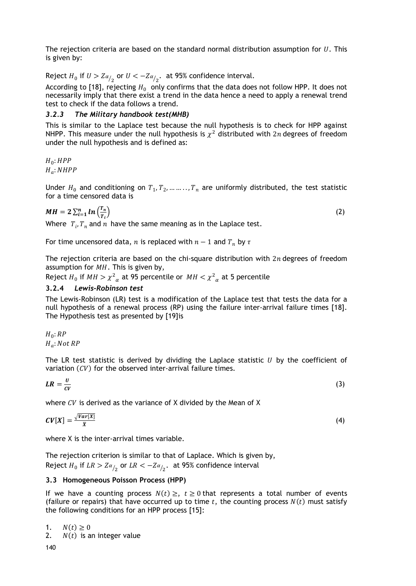The rejection criteria are based on the standard normal distribution assumption for  $U$ . This is given by:

Reject  $H_0$  if  $U > Z_{\alpha/2}$  or  $U < -Z_{\alpha/2}$ . at 95% confidence interval.

According to [18], rejecting  $H_0$  only confirms that the data does not follow HPP. It does not necessarily imply that there exist a trend in the data hence a need to apply a renewal trend test to check if the data follows a trend.

## *3.2.3 The Military handbook test(MHB)*

This is similar to the Laplace test because the null hypothesis is to check for HPP against NHPP. This measure under the null hypothesis is  $\chi^2$  distributed with 2n degrees of freedom under the null hypothesis and is defined as:

 $H_0$ :  $HPP$  $H_a$ : NHPP

Under  $H_0$  and conditioning on  $T_1, T_2, \dots, T_n$  are uniformly distributed, the test statistic for a time censored data is

$$
MH = 2\sum_{i=1}^{n} ln\left(\frac{T_n}{T_i}\right)
$$
\nWhen  $T_n$  and  $T_n$  have the same measure of the length of the length.

\n(2)

Where  $T_i$ ,  $T_n$  and  $n$  have the same meaning as in the Laplace test.

For time uncensored data, *n* is replaced with  $n - 1$  and  $T_n$  by  $\tau$ 

The rejection criteria are based on the chi-square distribution with  $2n$  degrees of freedom assumption for  $MH$ . This is given by,

Reject  $H_0$  if  $MH > \chi^2_{\alpha}$  at 95 percentile or  $MH < \chi^2_{\alpha}$  at 5 percentile

## **3.2.4** *Lewis-Robinson test*

The Lewis-Robinson (LR) test is a modification of the Laplace test that tests the data for a null hypothesis of a renewal process (RP) using the failure inter-arrival failure times [18]. The Hypothesis test as presented by [19]is

 $H_0$ : RP  $H_a$ : Not RP

The LR test statistic is derived by dividing the Laplace statistic  $U$  by the coefficient of variation  $(CV)$  for the observed inter-arrival failure times.

$$
LR = \frac{U}{CV} \tag{3}
$$

where  $CV$  is derived as the variance of X divided by the Mean of X

$$
CV[X] = \frac{\sqrt{Var[X]}}{\overline{X}}
$$
 (4)

where X is the inter-arrival times variable.

The rejection criterion is similar to that of Laplace. Which is given by, Reject  $H_0$  if  $LR > Z\alpha_{12}$  or  $LR < -Z\alpha_{12}$ . at 95% confidence interval

### **3.3 Homogeneous Poisson Process (HPP)**

If we have a counting process  $N(t) \geq$ ,  $t \geq 0$  that represents a total number of events (failure or repairs) that have occurred up to time  $t$ , the counting process  $N(t)$  must satisfy the following conditions for an HPP process [15]:

1.  $N(t) \ge 0$ <br>2.  $N(t)$  is a

 $N(t)$  is an integer value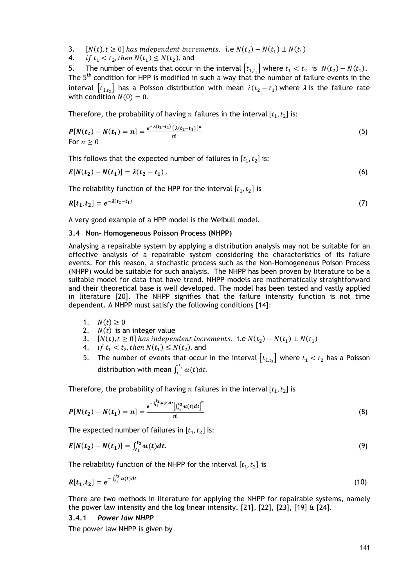- 3.  $[N(t), t \ge 0]$  has independent increments. i.e  $N(t_2) N(t_1) \perp N(t_1)$
- 4. *if*  $t_1 < t_2$ , then  $N(t_1) \le N(t_2)$ , and

5. The number of events that occur in the interval  $\lfloor t_{1,t_2} \rfloor$  where  $t_1 < t_2$  is  $N(t_2) - N(t_1)$ . The  $5<sup>th</sup>$  condition for HPP is modified in such a way that the number of failure events in the interval  $[t_{1,t_2}]$  has a Poisson distribution with mean  $\lambda(t_2-t_1)$  where  $\lambda$  is the failure rate with condition  $N(0) = 0$ .

Therefore, the probability of having *n* failures in the interval  $[t_1, t_2]$  is:

$$
P[N(t_2) - N(t_1) = n] = \frac{e^{-\lambda(t_2 - t_1)} [\lambda(t_2 - t_1)]^n}{n!}
$$
\nFor  $n \geq 0$ 

\n(5)

This follows that the expected number of failures in  $[t_1, t_2]$  is:

$$
E[N(t_2) - N(t_1)] = \lambda(t_2 - t_1).
$$
 (6)

The reliability function of the HPP for the interval  $[t_1, t_2]$  is

$$
R[t_1, t_2] = e^{-\lambda(t_2 - t_1)} \tag{7}
$$

A very good example of a HPP model is the Weibull model.

## **3.4 Non- Homogeneous Poisson Process (NHPP)**

Analysing a repairable system by applying a distribution analysis may not be suitable for an effective analysis of a repairable system considering the characteristics of its failure events. For this reason, a stochastic process such as the Non-Homogeneous Poison Process (NHPP) would be suitable for such analysis. The NHPP has been proven by literature to be a suitable model for data that have trend. NHPP models are mathematically straightforward and their theoretical base is well developed. The model has been tested and vastly applied in literature [20]. The NHPP signifies that the failure intensity function is not time dependent. A NHPP must satisfy the following conditions [14]:

- 1.  $N(t) \ge 0$
- 2.  $N(t)$  is an integer value
- 3.  $[N(t), t \ge 0]$  has independent increments. i.e  $N(t_2) N(t_1) \perp N(t_1)$
- 4. *if*  $t_1 < t_2$ , then  $N(t_1) \le N(t_2)$ , and
- 5. The number of events that occur in the interval  $[t_{1,t_2}]$  where  $t_1 < t_2$  has a Poisson distribution with mean  $\int_{t_1}^{t_2} u(t) dt$ .

Therefore, the probability of having *n* failures in the interval  $[t_1, t_2]$  is

$$
P[N(t_2) - N(t_1) = n] = \frac{e^{-\int_{t_1}^{t_2} u(t)dt} \Big[ \int_{t_1}^{t_2} u(t)dt \Big]^n}{n!}
$$
 (8)

The expected number of failures in  $[t_1, t_2]$  is:

$$
E[N(t_2) - N(t_1)] = \int_{t_1}^{t_2} u(t) dt.
$$
\n(9)

The reliability function of the NHPP for the interval  $[t_1,t_2]$  is

$$
R[t_1, t_2] = e^{-\int_{t_1}^{t_2} u(t)dt} \tag{10}
$$

There are two methods in literature for applying the NHPP for repairable systems, namely the power law intensity and the log linear intensity.  $[21]$ ,  $[22]$ ,  $[23]$ ,  $[19]$  &  $[24]$ .

## **3.4.1** *Power law NHPP*

The power law NHPP is given by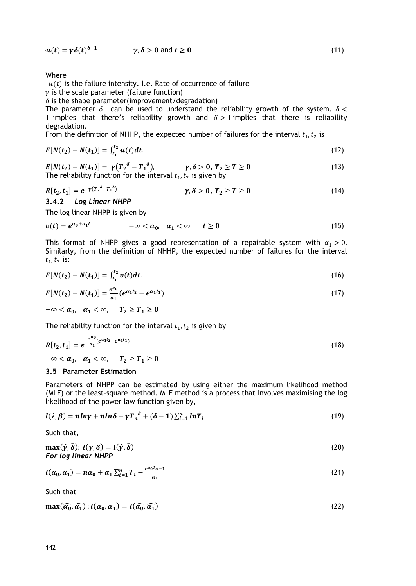$u(t) = \gamma \delta(t)^{\delta-1}$   $\gamma, \delta > 0$  and  $t \ge 0$  (11)

Where

 $u(t)$  is the failure intensity. I.e. Rate of occurrence of failure

 $\gamma$  is the scale parameter (failure function)

 $\delta$  is the shape parameter(improvement/degradation)

The parameter  $\delta$  can be used to understand the reliability growth of the system.  $\delta$  < 1 implies that there's reliability growth and  $\delta > 1$  implies that there is reliability degradation.

From the definition of NHHP, the expected number of failures for the interval  $t_1, t_2$  is

$$
E[N(t_2) - N(t_1)] = \int_{t_1}^{t_2} u(t) dt.
$$
 (12)

$$
E[N(t2) - N(t1)] = \gamma (T_2^{\delta} - T_1^{\delta}), \qquad \gamma, \delta > 0, T_2 \ge T \ge 0
$$
  
The reliability function for the interval  $t_1, t_2$  is given by (13)

$$
R[t_2, t_1] = e^{-\gamma (T_2^{\delta} - T_1^{\delta})}
$$
  $\gamma, \delta > 0, T_2 \ge T \ge 0$  (14)

**3.4.2** *Log Linear NHPP*

The log linear NHPP is given by

$$
v(t) = e^{\alpha_0 + \alpha_1 t} \qquad \qquad -\infty < \alpha_0, \quad \alpha_1 < \infty, \qquad t \ge 0 \tag{15}
$$

This format of NHPP gives a good representation of a repairable system with  $\alpha_1 > 0$ . Similarly, from the definition of NHHP, the expected number of failures for the interval  $t_1, t_2$  is:

$$
E[N(t_2) - N(t_1)] = \int_{t_1}^{t_2} v(t) dt.
$$
 (16)

$$
E[N(t_2) - N(t_1)] = \frac{e^{a_0}}{a_1} (e^{a_1 t_2} - e^{a_1 t_1})
$$
\n(17)

$$
-\infty < \alpha_0, \quad \alpha_1 < \infty, \qquad T_2 \ge T_1 \ge 0
$$

The reliability function for the interval  $t_1, t_2$  is given by

$$
R[t_2, t_1] = e^{-\frac{e^{a_0}}{a_1}(e^{a_1t_2} - e^{a_1t_1})}
$$
  

$$
-\infty < a_0, \quad a_1 < \infty, \quad T_2 \ge T_1 \ge 0
$$
 (18)

#### **3.5 Parameter Estimation**

Parameters of NHPP can be estimated by using either the maximum likelihood method (MLE) or the least-square method. MLE method is a process that involves maximising the log likelihood of the power law function given by,

$$
l(\lambda, \beta) = nln\gamma + nln\delta - \gamma T_n^{\delta} + (\delta - 1) \sum_{i=1}^n lnT_i
$$
\n(19)

Such that,

$$
\max(\hat{\gamma}, \hat{\delta}) : l(\gamma, \delta) = l(\hat{\gamma}, \hat{\delta})
$$
  
For log linear NHPP (20)

$$
l(\alpha_0, \alpha_1) = n\alpha_0 + \alpha_1 \sum_{i=1}^n T_i - \frac{e^{\alpha_0 T_{n-1}}}{\alpha_1}
$$
\n(21)

Such that

 $\max(\widehat{\alpha}_0, \widehat{\alpha}_1) : l(\alpha_0, \alpha_1) = l(\widehat{\alpha}_0, \widehat{\alpha}_1)$  (22)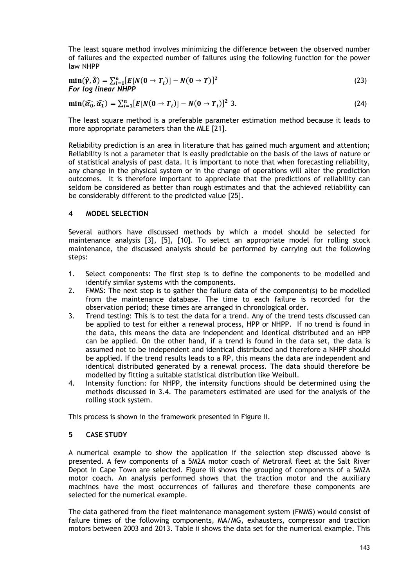The least square method involves minimizing the difference between the observed number of failures and the expected number of failures using the following function for the power law NHPP

$$
\min(\hat{\gamma}, \hat{\delta}) = \sum_{i=1}^{n} [E[N(0 \to T_i)] - N(0 \to T)]^2
$$
\nFor log linear NHPP

\n
$$
(23)
$$

$$
\min(\widehat{a_0}, \widehat{a_1}) = \sum_{i=1}^n [E[N(0 \to T_i)] - N(0 \to T_i)]^2 \, \text{3.}
$$

The least square method is a preferable parameter estimation method because it leads to more appropriate parameters than the MLE [21].

Reliability prediction is an area in literature that has gained much argument and attention; Reliability is not a parameter that is easily predictable on the basis of the laws of nature or of statistical analysis of past data. It is important to note that when forecasting reliability, any change in the physical system or in the change of operations will alter the prediction outcomes. It is therefore important to appreciate that the predictions of reliability can seldom be considered as better than rough estimates and that the achieved reliability can be considerably different to the predicted value [25].

### **4 MODEL SELECTION**

Several authors have discussed methods by which a model should be selected for maintenance analysis [3], [5], [10]. To select an appropriate model for rolling stock maintenance, the discussed analysis should be performed by carrying out the following steps:

- 1. Select components: The first step is to define the components to be modelled and identify similar systems with the components.
- 2. FMMS: The next step is to gather the failure data of the component(s) to be modelled from the maintenance database. The time to each failure is recorded for the observation period; these times are arranged in chronological order.
- 3. Trend testing: This is to test the data for a trend. Any of the trend tests discussed can be applied to test for either a renewal process, HPP or NHPP. If no trend is found in the data, this means the data are independent and identical distributed and an HPP can be applied. On the other hand, if a trend is found in the data set, the data is assumed not to be independent and identical distributed and therefore a NHPP should be applied. If the trend results leads to a RP, this means the data are independent and identical distributed generated by a renewal process. The data should therefore be modelled by fitting a suitable statistical distribution like Weibull.
- 4. Intensity function: for NHPP, the intensity functions should be determined using the methods discussed in 3.4. The parameters estimated are used for the analysis of the rolling stock system.

This process is shown in the framework presented in Figure ii.

### **5 CASE STUDY**

A numerical example to show the application if the selection step discussed above is presented. A few components of a 5M2A motor coach of Metrorail fleet at the Salt River Depot in Cape Town are selected. Figure iii shows the grouping of components of a 5M2A motor coach. An analysis performed shows that the traction motor and the auxiliary machines have the most occurrences of failures and therefore these components are selected for the numerical example.

The data gathered from the fleet maintenance management system (FMMS) would consist of failure times of the following components, MA/MG, exhausters, compressor and traction motors between 2003 and 2013. Table ii shows the data set for the numerical example. This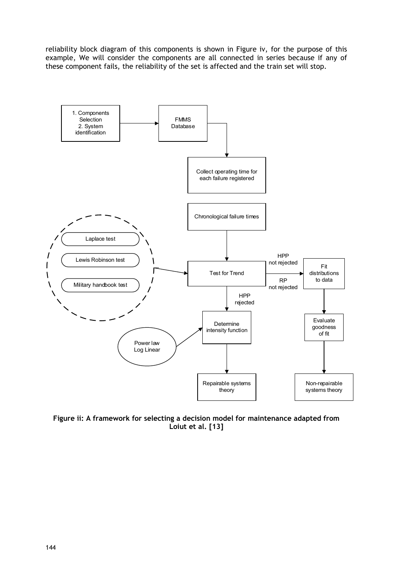reliability block diagram of this components is shown in Figure iv, for the purpose of this example, We will consider the components are all connected in series because if any of these component fails, the reliability of the set is affected and the train set will stop.



**Figure ii: A framework for selecting a decision model for maintenance adapted from Loiut et al. [13]**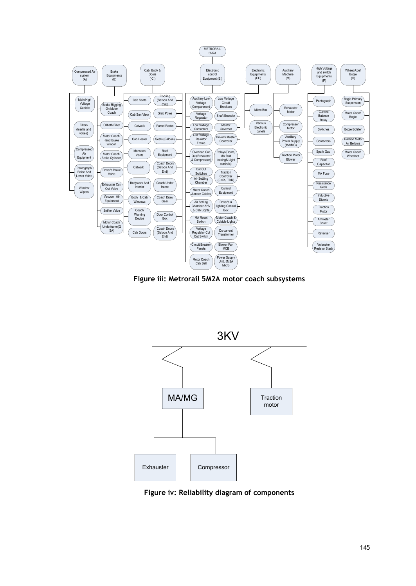

**Figure iii: Metrorail 5M2A motor coach subsystems**



**Figure iv: Reliability diagram of components**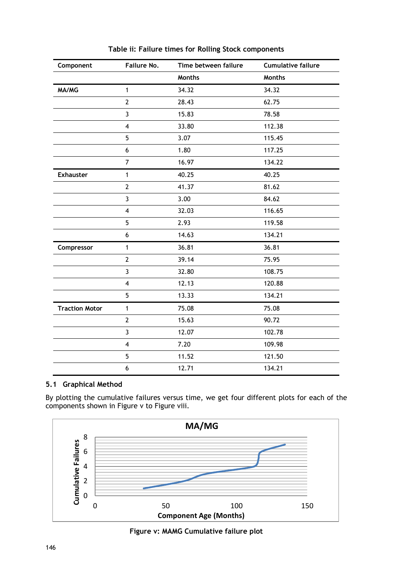| Component             | Failure No.    | Time between failure | <b>Cumulative failure</b> |
|-----------------------|----------------|----------------------|---------------------------|
|                       |                | <b>Months</b>        | <b>Months</b>             |
| MA/MG                 | $\mathbf{1}$   | 34.32                | 34.32                     |
|                       | $\mathbf{2}$   | 28.43                | 62.75                     |
|                       | 3              | 15.83                | 78.58                     |
|                       | $\overline{4}$ | 33.80                | 112.38                    |
|                       | 5              | 3.07                 | 115.45                    |
|                       | 6              | 1.80                 | 117.25                    |
|                       | $\overline{7}$ | 16.97                | 134.22                    |
| <b>Exhauster</b>      | 1              | 40.25                | 40.25                     |
|                       | $\overline{2}$ | 41.37                | 81.62                     |
|                       | 3              | 3.00                 | 84.62                     |
|                       | $\overline{4}$ | 32.03                | 116.65                    |
|                       | 5              | 2.93                 | 119.58                    |
|                       | 6              | 14.63                | 134.21                    |
| Compressor            | 1              | 36.81                | 36.81                     |
|                       | $\overline{2}$ | 39.14                | 75.95                     |
|                       | 3              | 32.80                | 108.75                    |
|                       | $\overline{4}$ | 12.13                | 120.88                    |
|                       | 5              | 13.33                | 134.21                    |
| <b>Traction Motor</b> | 1              | 75.08                | 75.08                     |
|                       | $\overline{2}$ | 15.63                | 90.72                     |
|                       | 3              | 12.07                | 102.78                    |
|                       | $\overline{4}$ | 7.20                 | 109.98                    |
|                       | 5              | 11.52                | 121.50                    |
|                       | 6              | 12.71                | 134.21                    |

**Table ii: Failure times for Rolling Stock components**

## **5.1 Graphical Method**

By plotting the cumulative failures versus time, we get four different plots for each of the components shown in Figure v to Figure viii.



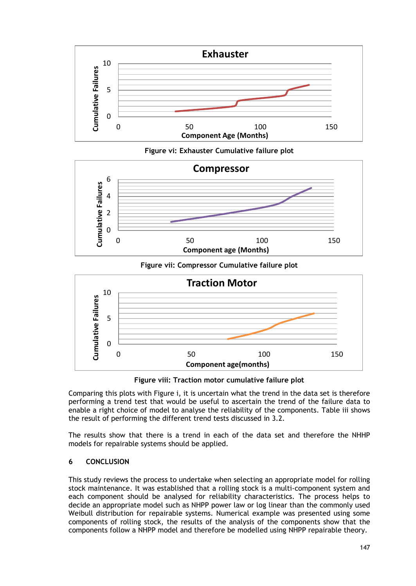

**Figure vi: Exhauster Cumulative failure plot**



**Figure vii: Compressor Cumulative failure plot**



**Figure viii: Traction motor cumulative failure plot**

Comparing this plots with Figure i, it is uncertain what the trend in the data set is therefore performing a trend test that would be useful to ascertain the trend of the failure data to enable a right choice of model to analyse the reliability of the components. Table iii shows the result of performing the different trend tests discussed in 3.2.

The results show that there is a trend in each of the data set and therefore the NHHP models for repairable systems should be applied.

## **6 CONCLUSION**

This study reviews the process to undertake when selecting an appropriate model for rolling stock maintenance. It was established that a rolling stock is a multi-component system and each component should be analysed for reliability characteristics. The process helps to decide an appropriate model such as NHPP power law or log linear than the commonly used Weibull distribution for repairable systems. Numerical example was presented using some components of rolling stock, the results of the analysis of the components show that the components follow a NHPP model and therefore be modelled using NHPP repairable theory.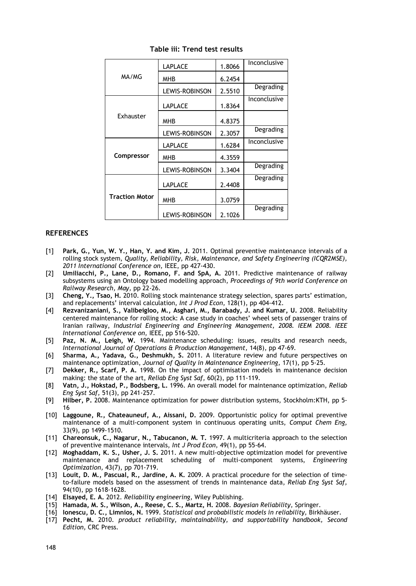|                       | LAPLACE        | 1.8066 | Inconclusive |
|-----------------------|----------------|--------|--------------|
| MA/MG                 | MHB            | 6.2454 |              |
|                       | LEWIS-ROBINSON | 2.5510 | Degrading    |
| Exhauster             | LAPLACE        | 1.8364 | Inconclusive |
|                       | MHB            | 4.8375 |              |
|                       | LEWIS-ROBINSON | 2.3057 | Degrading    |
| Compressor            | LAPLACE        | 1.6284 | Inconclusive |
|                       | MHB            | 4.3559 |              |
|                       | LEWIS-ROBINSON | 3.3404 | Degrading    |
| <b>Traction Motor</b> | LAPLACE        | 2.4408 | Degrading    |
|                       | MHB            | 3.0759 |              |
|                       | LEWIS-ROBINSON | 2.1026 | Degrading    |

**Table iii: Trend test results**

#### **REFERENCES**

- [1] **Park, G., Yun, W. Y., Han, Y. and Kim, J.** 2011. Optimal preventive maintenance intervals of a rolling stock system, *Quality, Reliability, Risk, Maintenance, and Safety Engineering (ICQR2MSE), 2011 International Conference on,* IEEE, pp 427-430.
- [2] **Umiliacchi, P., Lane, D., Romano, F. and SpA, A.** 2011. Predictive maintenance of railway subsystems using an Ontology based modelling approach, *Proceedings of 9th world Conference on Railway Research, May,* pp 22-26.
- [3] **Cheng, Y., Tsao, H.** 2010. Rolling stock maintenance strategy selection, spares parts' estimation, and replacements' interval calculation, *Int J Prod Econ,* 128(1), pp 404-412.
- [4] **Rezvanizaniani, S., Valibeigloo, M., Asghari, M., Barabady, J. and Kumar, U.** 2008. Reliability centered maintenance for rolling stock: A case study in coaches' wheel sets of passenger trains of Iranian railway, *Industrial Engineering and Engineering Management, 2008. IEEM 2008. IEEE International Conference on,* IEEE, pp 516-520.
- [5] **Paz, N. M., Leigh, W.** 1994. Maintenance scheduling: issues, results and research needs, *International Journal of Operations & Production Management,* 14(8), pp 47-69.
- [6] **Sharma, A., Yadava, G., Deshmukh, S.** 2011. A literature review and future perspectives on maintenance optimization, *Journal of Quality in Maintenance Engineering,* 17(1), pp 5-25.
- [7] **Dekker, R., Scarf, P. A.** 1998. On the impact of optimisation models in maintenance decision making: the state of the art, *Reliab Eng Syst Saf,* 60(2), pp 111-119.
- [8] **Vatn, J., Hokstad, P., Bodsberg, L.** 1996. An overall model for maintenance optimization, *Reliab Eng Syst Saf,* 51(3), pp 241-257.
- [9] **Hilber, P.** 2008. Maintenance optimization for power distribution systems, Stockholm:KTH, pp 5- 16
- [10] **Laggoune, R., Chateauneuf, A., Aissani, D.** 2009. Opportunistic policy for optimal preventive maintenance of a multi-component system in continuous operating units, *Comput Chem Eng,* 33(9), pp 1499-1510.
- [11] **Chareonsuk, C., Nagarur, N., Tabucanon, M. T.** 1997. A multicriteria approach to the selection of preventive maintenance intervals, *Int J Prod Econ,* 49(1), pp 55-64.
- [12] **Moghaddam, K. S., Usher, J. S.** 2011. A new multi-objective optimization model for preventive maintenance and replacement scheduling of multi-component systems, *Engineering Optimization,* 43(7), pp 701-719.
- [13] **Louit, D. M., Pascual, R., Jardine, A. K.** 2009. A practical procedure for the selection of timeto-failure models based on the assessment of trends in maintenance data, *Reliab Eng Syst Saf,* 94(10), pp 1618-1628.
- [14] **Elsayed, E. A.** 2012. *Reliability engineering,* Wiley Publishing.
- [15] **Hamada, M. S., Wilson, A., Reese, C. S., Martz, H.** 2008. *Bayesian Reliability,* Springer.
- [16] **Ionescu, D. C., Limnios, N.** 1999. *Statistical and probabilistic models in reliability,* Birkhäuser.
- [17] **Pecht, M.** 2010. *product reliability, maintainability, and supportability handbook, Second Edition,* CRC Press.